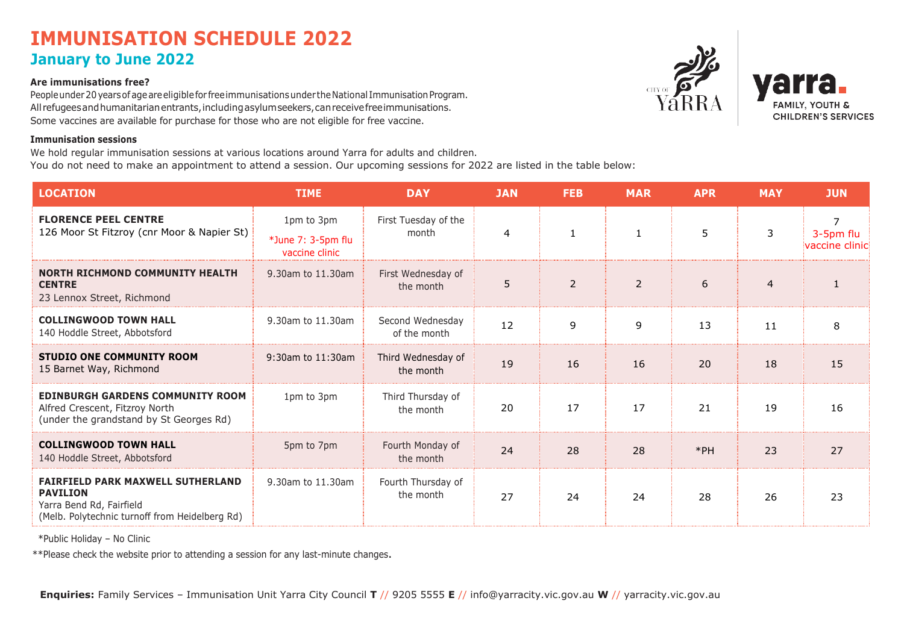## **IMMUNISATION SCHEDULE 2022 January to June 2022**

### **Are immunisations free?**

People under 20 years of age are eligible for free immunisations under the National Immunisation Program. All refugees and humanitarian entrants, including asylum seekers, can receive free immunisations. Some vaccines are available for purchase for those who are not eligible for free vaccine.

### **Immunisation sessions**

We hold regular immunisation sessions at various locations around Yarra for adults and children. You do not need to make an appointment to attend a session. Our upcoming sessions for 2022 are listed in the table below:





| <b>LOCATION</b>                                                                                                                           | <b>TIME</b>                                        | <b>DAY</b>                       | <b>JAN</b> | <b>FEB</b>     | <b>MAR</b>     | <b>APR</b> | <b>MAY</b>     | <b>JUN</b>                       |
|-------------------------------------------------------------------------------------------------------------------------------------------|----------------------------------------------------|----------------------------------|------------|----------------|----------------|------------|----------------|----------------------------------|
| <b>FLORENCE PEEL CENTRE</b><br>126 Moor St Fitzroy (cnr Moor & Napier St)                                                                 | 1pm to 3pm<br>*June 7: 3-5pm flu<br>vaccine clinic | First Tuesday of the<br>month    | 4          |                | 1              | 5          | 3              | 7<br>3-5pm flu<br>vaccine clinic |
| <b>NORTH RICHMOND COMMUNITY HEALTH</b><br><b>CENTRE</b><br>23 Lennox Street, Richmond                                                     | 9.30am to 11.30am                                  | First Wednesday of<br>the month  | 5          | $\overline{2}$ | $\overline{2}$ | 6          | $\overline{4}$ | $\mathbf{1}$                     |
| <b>COLLINGWOOD TOWN HALL</b><br>140 Hoddle Street, Abbotsford                                                                             | 9.30am to 11.30am                                  | Second Wednesday<br>of the month | 12         | 9              | 9              | 13         | 11             | 8                                |
| <b>STUDIO ONE COMMUNITY ROOM</b><br>15 Barnet Way, Richmond                                                                               | 9:30am to 11:30am                                  | Third Wednesday of<br>the month  | 19         | 16             | 16             | 20         | 18             | 15                               |
| <b>EDINBURGH GARDENS COMMUNITY ROOM</b><br>Alfred Crescent, Fitzroy North<br>(under the grandstand by St Georges Rd)                      | 1pm to 3pm                                         | Third Thursday of<br>the month   | 20         | 17             | 17             | 21         | 19             | 16                               |
| <b>COLLINGWOOD TOWN HALL</b><br>140 Hoddle Street, Abbotsford                                                                             | 5pm to 7pm                                         | Fourth Monday of<br>the month    | 24         | 28             | 28             | $*PH$      | 23             | 27                               |
| <b>FAIRFIELD PARK MAXWELL SUTHERLAND</b><br><b>PAVILION</b><br>Yarra Bend Rd, Fairfield<br>(Melb. Polytechnic turnoff from Heidelberg Rd) | 9.30am to 11.30am                                  | Fourth Thursday of<br>the month  | 27         | 24             | 24             | 28         | 26             | 23                               |

\*Public Holiday – No Clinic

\*\*Please check the website prior to attending a session for any last-minute changes.

**Enquiries:** Family Services – Immunisation Unit Yarra City Council **T** // 9205 5555 **E** // [info@yarracity.vic.gov.au](mailto:info@yarracity.vic.gov.au) **W** // yarracity.vic.gov.au